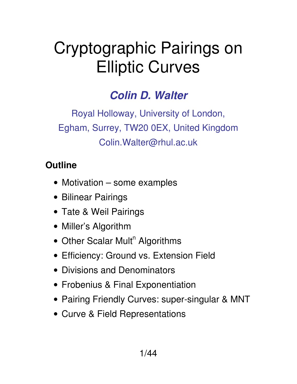# Cryptographic Pairings on Elliptic Curves

## *Colin D. Walter*

Royal Holloway, University of London, Egham, Surrey, TW20 0EX, United Kingdom Colin.Walter@rhul.ac.uk

#### **Outline**

- Motivation some examples
- Bilinear Pairings
- Tate & Weil Pairings
- Miller's Algorithm
- Other Scalar Mult<sup>n</sup> Algorithms
- Efficiency: Ground vs. Extension Field
- Divisions and Denominators
- Frobenius & Final Exponentiation
- Pairing Friendly Curves: super-singular & MNT
- Curve & Field Representations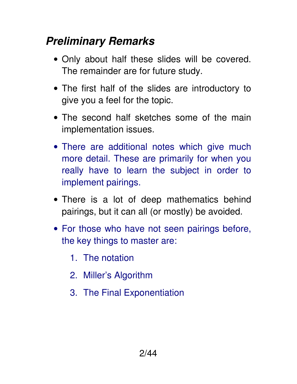# *Preliminary Remarks*

- Only about half these slides will be covered. The remainder are for future study.
- The first half of the slides are introductory to give you a feel for the topic.
- The second half sketches some of the main implementation issues.
- There are additional notes which give much more detail. These are primarily for when you really have to learn the subject in order to implement pairings.
- There is a lot of deep mathematics behind pairings, but it can all (or mostly) be avoided.
- For those who have not seen pairings before, the key things to master are:
	- 1. The notation
	- 2. Miller's Algorithm
	- 3. The Final Exponentiation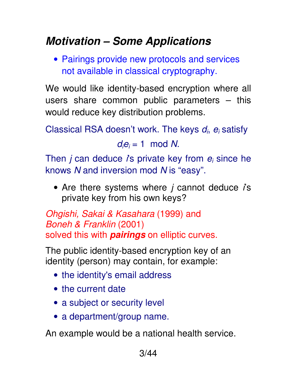# *Motivation – Some Applications*

• Pairings provide new protocols and services not available in classical cryptography.

We would like identity-based encryption where all users share common public parameters – this would reduce key distribution problems.

Classical RSA doesn't work. The keys  $d_i$ ,  $e_i$  satisfy

 $d_i e_i = 1 \mod N$ .

Then *j* can deduce *i*'s private key from  $e_i$  since he knows N and inversion mod N is "easy".

• Are there systems where  *cannot deduce*  $*i*$ *s* private key from his own keys?

Ohgishi, Sakai & Kasahara (1999) and Boneh & Franklin (2001) solved this with *pairings* on elliptic curves.

The public identity-based encryption key of an identity (person) may contain, for example:

- the identity's email address
- the current date
- a subject or security level
- a department/group name.

An example would be a national health service.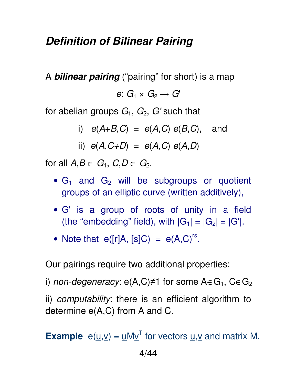#### *Definition of Bilinear Pairing*

A *bilinear pairing* ("pairing" for short) is a map

e:  $G_1 \times G_2 \rightarrow G'$ 

for abelian groups  $G_1$ ,  $G_2$ ,  $G'$  such that

i)  $e(A+B,C) = e(A,C) e(B,C)$ , and

ii) 
$$
e(A, C+D) = e(A, C) e(A, D)
$$

for all  $A, B \in G_1$ ,  $C, D \in G_2$ .

- $G_1$  and  $G_2$  will be subgroups or quotient groups of an elliptic curve (written additively),
- G' is a group of roots of unity in a field (the "embedding" field), with  $|G_1| = |G_2| = |G'|$ .
- Note that  $e([r]A, [s]C) = e(A, C)^{rs}$ .

Our pairings require two additional properties:

i) non-degeneracy:  $e(A,C) \neq 1$  for some  $A \in G_1$ ,  $C \in G_2$ 

ii) computability: there is an efficient algorithm to determine e(A,C) from A and C.

**Example**  $e(\underline{u}, \underline{v}) = \underline{u}M\underline{v}^{T}$  for vectors  $\underline{u}, \underline{v}$  and matrix M.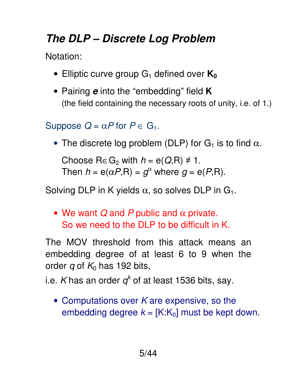# *The DLP – Discrete Log Problem*

Notation:

- Elliptic curve group G<sub>1</sub> defined over  $K_0$
- Pairing *e* into the "embedding" field **K** (the field containing the necessary roots of unity, i.e. of 1.)

Suppose  $Q = \alpha P$  for  $P \in G_1$ .

• The discrete log problem (DLP) for  $G_1$  is to find  $\alpha$ .

Choose  $R \in G_2$  with  $h = e(Q,R) \neq 1$ . Then  $h = e(\alpha P, R) = g^{\alpha}$  where  $g = e(P, R)$ .

Solving DLP in K yields  $\alpha$ , so solves DLP in  $G_1$ .

• We want  $Q$  and P public and  $\alpha$  private. So we need to the DLP to be difficult in K.

The MOV threshold from this attack means an embedding degree of at least 6 to 9 when the order q of  $K_0$  has 192 bits,

i.e. *K* has an order  $q^k$  of at least 1536 bits, say.

• Computations over  $K$  are expensive, so the embedding degree  $k = [K:K_0]$  must be kept down.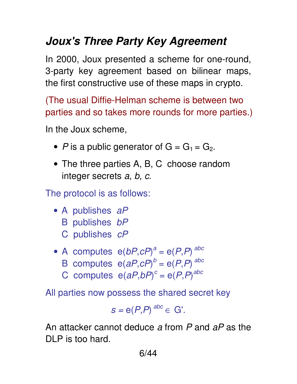# *Joux's Three Party Key Agreement*

In 2000, Joux presented a scheme for one-round, 3-party key agreement based on bilinear maps, the first constructive use of these maps in crypto.

(The usual Diffie-Helman scheme is between two parties and so takes more rounds for more parties.)

In the Joux scheme,

- P is a public generator of  $G = G_1 = G_2$ .
- The three parties A, B, C choose random integer secrets a, b, c.

The protocol is as follows:

- A publishes aP
	- B publishes bP
	- C publishes cP
- A computes  $e(bP,cP)^a = e(P,P)^{abc}$ 
	- B computes  $e(aP,cP)^b = e(P,P)^{abc}$
	- C computes  $e(aP,bP)^c = e(P,P)^{abc}$

All parties now possess the shared secret key

$$
s = e(P,P)^{abc} \in G'.
$$

An attacker cannot deduce a from P and aP as the DLP is too hard.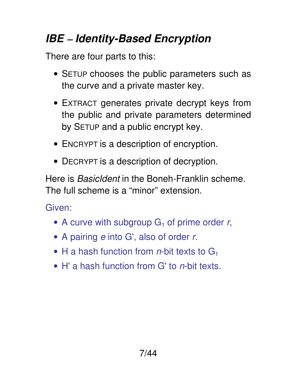# *IBE* – *Identity-Based Encryption*

There are four parts to this:

- SETUP chooses the public parameters such as the curve and a private master key.
- EXTRACT generates private decrypt keys from the public and private parameters determined by SETUP and a public encrypt key.
- ENCRYPT is a description of encryption.
- DECRYPT is a description of decryption.

Here is BasicIdent in the Boneh-Franklin scheme. The full scheme is a "minor" extension.

Given:

- A curve with subgroup  $G_1$  of prime order r,
- A pairing *e* into G', also of order r.
- H a hash function from *n*-bit texts to  $G_1$
- $\bullet$  H' a hash function from G' to *n*-bit texts.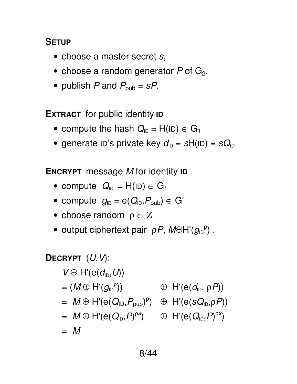#### **SETUP**

- choose a master secret s,
- choose a random generator  $P$  of  $G_2$ ,
- publish P and  $P_{\text{pub}} = sP$ .

**EXTRACT** for public identity **ID**

- compute the hash  $Q_{ID} = H(ID) \in G_1$
- generate ID's private key  $d_{ID} = sH(ID) = sQ_{ID}$

**ENCRYPT** message M for identity **ID**

- compute  $Q_{ID} = H(ID) \in G_1$
- compute  $g_{ID} = e(Q_{ID}, P_{pub}) \in G'$
- choose random  $\rho \in \mathbb{Z}$
- output ciphertext pair  $\rho P$ ,  $M \oplus H'(g_{ID}^{\rho})$ .

**DECRYPT** 
$$
(U, V)
$$
:  
\n $V \oplus H'(e(d_{1D}, U))$   
\n $= (M \oplus H'(g_{1D}^{\rho})) \oplus H'(e(d_{1D}, \rho P))$   
\n $= M \oplus H'(e(Q_{1D}, P_{pub})^{\rho}) \oplus H'(e(sQ_{1D}, \rho P))$   
\n $= M \oplus H'(e(Q_{1D}, P)^{\rho s}) \oplus H'(e(Q_{1D}, P)^{\rho s})$   
\n $= M$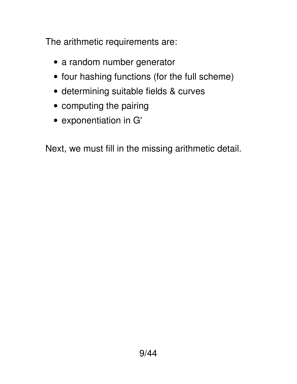The arithmetic requirements are:

- a random number generator
- four hashing functions (for the full scheme)
- determining suitable fields & curves
- computing the pairing
- exponentiation in G'

Next, we must fill in the missing arithmetic detail.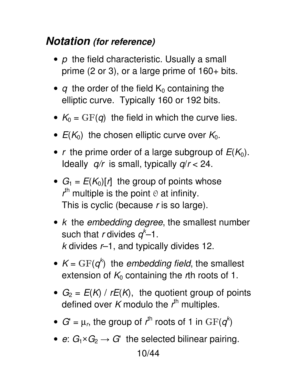#### *Notation (for reference)*

- $\rho$  the field characteristic. Usually a small prime (2 or 3), or a large prime of 160+ bits.
- q the order of the field  $K_0$  containing the elliptic curve. Typically 160 or 192 bits.
- $K_0 = \text{GF}(q)$  the field in which the curve lies.
- $E(K_0)$  the chosen elliptic curve over  $K_0$ .
- r the prime order of a large subgroup of  $E(K_0)$ . Ideally  $q/r$  is small, typically  $q/r < 24$ .
- $G_1 = E(K_0)[r]$  the group of points whose  $r<sup>th</sup>$  multiple is the point  $\odot$  at infinity. This is cyclic (because r is so large).
- $k$  the embedding degree, the smallest number such that r divides  $q^k-1$ .  $k$  divides  $r-1$ , and typically divides 12.
- $K = \text{GF}(q^k)$  the embedding field, the smallest extension of  $K_0$  containing the rth roots of 1.
- $G_2 = E(K) / rE(K)$ , the quotient group of points defined over K modulo the  $r<sup>th</sup>$  multiples.
- $G' = \mu_r$ , the group of  $r^{\text{th}}$  roots of 1 in  $\text{GF}(q^k)$
- e:  $G_1\times G_2\rightarrow G'$  the selected bilinear pairing.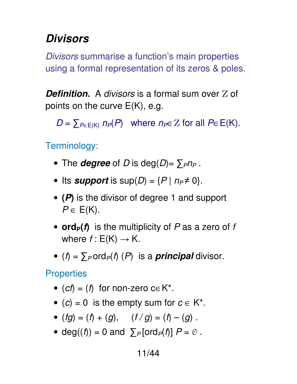### *Divisors*

Divisors summarise a function's main properties using a formal representation of its zeros & poles.

**Definition.** A divisors is a formal sum over Z of points on the curve E(K), e.g.

 $D = \sum_{P \in E(K)} n_P(P)$  where  $n_P \in \mathbb{Z}$  for all  $P \in E(K)$ .

Terminology:

- The *degree* of D is deg(D)=  $\sum_{P}n_{P}$ .
- Its *support* is  $sup(D) = {P | n_P \neq 0}.$
- **(***P***)** is the divisor of degree 1 and support  $P \in E(K)$ .
- **ord<sub>P</sub>(f)** is the multiplicity of P as a zero of f where  $f : E(K) \rightarrow K$ .
- $(f) = \sum_{P} \text{ord}_{P}(f)$  (P) is a **principal** divisor.

**Properties** 

- (cf) = (f) for non-zero c $\in$  K<sup>\*</sup>.
- (c) = 0 is the empty sum for  $c \in K^*$ .
- $(fg) = (f) + (g),$   $(f / g) = (f) (g).$
- deg((f)) = 0 and  $\sum_{P}$  [ord<sub> $P$ </sub>(f)]  $P = \emptyset$ .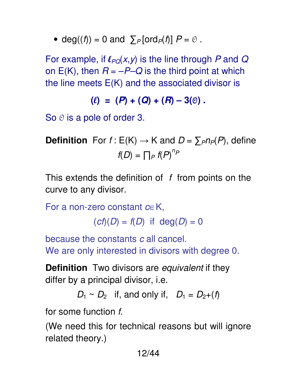• deg((f)) = 0 and  $\sum_{P} [\text{ord}_P(f)] P = \emptyset$ .

For example, if  $\ell_{PQ}(x, y)$  is the line through P and Q on  $E(K)$ , then  $R = -P-Q$  is the third point at which the line meets  $E(K)$  and the associated divisor is

$$
(\ell) = (P) + (Q) + (R) - 3(0).
$$

So  $\odot$  is a pole of order 3.

**Definition** For  $f : E(K) \to K$  and  $D = \sum_{P} n_P(P)$ , define  $f(D) = \prod_P f(P)^{n_P}$ 

This extends the definition of  $f$  from points on the curve to any divisor.

For a non-zero constant  $c \in K$ ,

 $(cf)(D) = f(D)$  if  $deg(D) = 0$ 

because the constants c all cancel. We are only interested in divisors with degree 0.

**Definition** Two divisors are equivalent if they differ by a principal divisor, i.e.

 $D_1 \sim D_2$  if, and only if,  $D_1 = D_2+(f)$ 

for some function f.

(We need this for technical reasons but will ignore related theory.)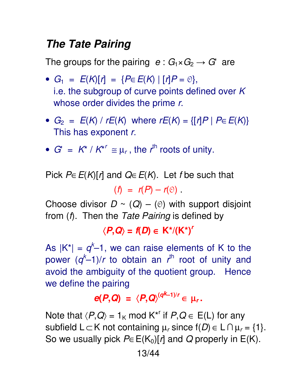#### *The Tate Pairing*

The groups for the pairing  $e: G_1 \times G_2 \rightarrow G'$  are

- $G_1 = E(K)[r] = {P \in E(K) | [r]P = \emptyset},$ i.e. the subgroup of curve points defined over  $K$ whose order divides the prime r.
- $G_2 = E(K) / rE(K)$  where  $rE(K) = \{ [r]P \mid P \in E(K) \}$ This has exponent r.
- $G' = K^* / K^{*} \cong \mu_r$ , the  $r^{\text{th}}$  roots of unity.

Pick  $P \in E(K)[r]$  and  $Q \in E(K)$ . Let f be such that  $(f) = r(P) - r(\mathfrak{O})$ .

Choose divisor  $D \sim (Q) - (0)$  with support disjoint from (*f*). Then the Tate Pairing is defined by

 $\langle P,Q \rangle = f(D) \in K^*/(K^*)^r$ 

As  $|K^*| = q^k - 1$ , we can raise elements of K to the power  $(q<sup>k</sup>-1)/r$  to obtain an  $r<sup>th</sup>$  root of unity and avoid the ambiguity of the quotient group. Hence we define the pairing

$$
e(P,Q) = \langle P,Q \rangle^{(qk-1)/r} \in \mu_r.
$$

Note that  $\langle P,Q \rangle = 1_K \text{ mod } K^{*r}$  if  $P,Q \in E(L)$  for any subfield L $\subset$ K not containing  $\mu_r$  since f(*D*)  $\in$  L $\cap$   $\mu_r$  = {1}. So we usually pick  $P \in E(K_0)[r]$  and Q properly in E(K).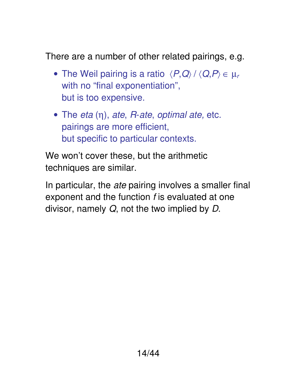There are a number of other related pairings, e.g.

- The Weil pairing is a ratio  $\langle P,Q\rangle / \langle Q,P\rangle \in \mu_r$ with no "final exponentiation", but is too expensive.
- The eta  $(\eta)$ , ate, R-ate, optimal ate, etc. pairings are more efficient, but specific to particular contexts.

We won't cover these, but the arithmetic techniques are similar.

In particular, the ate pairing involves a smaller final exponent and the function f is evaluated at one divisor, namely Q, not the two implied by D.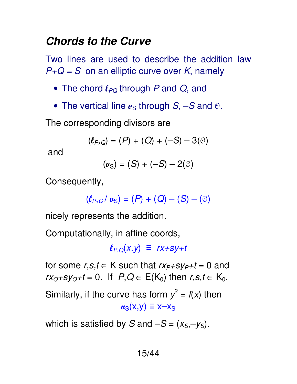#### *Chords to the Curve*

Two lines are used to describe the addition law  $P+Q = S$  on an elliptic curve over K, namely

- The chord  $\ell_{PO}$  through P and Q, and
- The vertical line  $u_S$  through  $S$ ,  $-S$  and  $\odot$ .

The corresponding divisors are

$$
(\ell_{P,Q}) = (P) + (Q) + (-S) - 3(0)
$$

and

 $(w_S) = (S) + (-S) - 2(0)$ 

Consequently,

$$
(\ell_{P,Q}/\mathbf{u}_{S})=(P)+(Q)-(S)-(\mathbf{0})
$$

nicely represents the addition.

Computationally, in affine coords,

 $\ell_{PQ}(x,y) \equiv r x + s y + t$ 

for some  $r,s,t \in K$  such that  $rx_{P}+sy_{P}+t=0$  and  $rx<sub>Q</sub>+sy<sub>Q</sub>+t = 0$ . If  $P,Q \in E(K<sub>0</sub>)$  then  $r,s,t \in K<sub>0</sub>$ .

Similarly, if the curve has form  $y^2 = f(x)$  then  $v_S(x,y) \equiv x - x_S$ 

which is satisfied by S and  $-S = (x_S, -y_S)$ .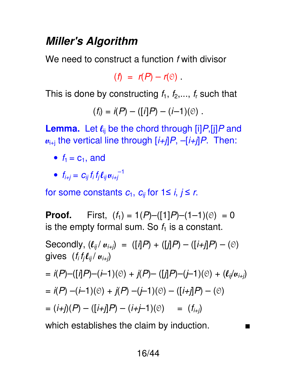#### *Miller's Algorithm*

We need to construct a function f with divisor

$$
(f) = r(P) - r(\Theta)
$$

This is done by constructing  $f_1, f_2,..., f_r$  such that

$$
(f_i) = i(P) - ([i]P) - (i-1)(0).
$$

**Lemma.** Let  $\ell_{ij}$  be the chord through  $[i]P$ ,  $[i]P$  and  $u_{i+j}$  the vertical line through  $[i+j]P, -[i+j]P$ . Then:

- $f_1 = c_1$ , and
- $f_{i+j} = C_{ij} f_i f_j {\ell}_{ij} u_{i+j}^{-1}$

for some constants  $c_1$ ,  $c_{ij}$  for  $1 \le i, j \le r$ .

**Proof.** First,  $(f_1) = 1(P) - ([1]P) - (1-1)(0) = 0$ is the empty formal sum. So  $f_1$  is a constant.

Secondly, 
$$
(\ell_{ij}/ \alpha_{i+j}) = ([i]P) + ([j]P) - ([i+j]P) - (\odot)
$$
  
\ngives  $(f_i f_j \ell_{ij}/ \alpha_{i+j})$   
\n $= i(P) - ([i]P) - (i-1)(\odot) + j(P) - ([j]P) - (j-1)(\odot) + (\ell_{ij}/\alpha_{i+j})$   
\n $= i(P) - (i-1)(\odot) + j(P) - (j-1)(\odot) - ([i+j]P) - (\odot)$   
\n $= (i+j)(P) - ([i+j]P) - (i+j-1)(\odot) = (f_{i+j})$   
\nwhich establishes the claim by induction.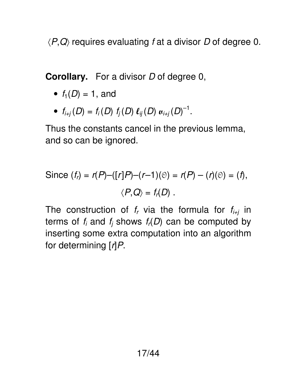$\langle P,Q\rangle$  requires evaluating f at a divisor D of degree 0.

**Corollary.** For a divisor D of degree 0,

- $f_1(D) = 1$ , and
- $f_{i+j}(D) = f_i(D) f_j(D) \ell_{ij}(D) u_{i+j}(D)^{-1}$ .

Thus the constants cancel in the previous lemma, and so can be ignored.

Since 
$$
(f_r) = r(P) - ([r]P) - (r-1)(\mathcal{O}) = r(P) - (r)(\mathcal{O}) = (f)
$$
,  
 $\langle P, Q \rangle = f_r(D)$ .

The construction of  $f_r$  via the formula for  $f_{i+j}$  in terms of  $f_i$  and  $f_j$  shows  $f_r(D)$  can be computed by inserting some extra computation into an algorithm for determining  $\lceil r \rceil P$ .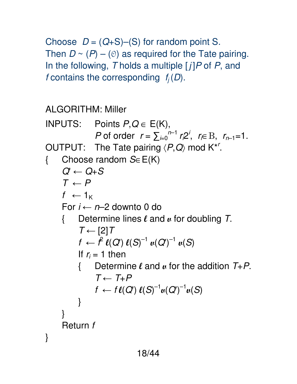Choose  $D = (Q+S)$ –(S) for random point S. Then  $D \sim (P) - (0)$  as required for the Tate pairing. In the following, T holds a multiple  $[j]P$  of P, and f contains the corresponding  $f_i(D)$ .

ALGORITHM: Miller

```
18/44 
INPUTS: Points P,Q \in E(K),
P of order r = \sum_{i=0}^{n-1} r_i 2^i, r \in B, r_{n-1} = 1.
OUTPUT: The Tate pairing \langle P,Q \rangle mod K^*<sup>r</sup>.
{ Choose random S∈E(K) 
     Q' \leftarrow Q + ST \leftarrow Pf \leftarrow 1_KFor i \leftarrow n-2 downto 0 do
      { Determine lines l and v for doubling T. 
           T \leftarrow [2]Tf \leftarrow \hat{f} \ell(Q) \ell(S)^{-1} \mu(Q)^{-1} \mu(S)If r_i = 1 then
           { Determine \ell and \mu for the addition T+P.
                T \leftarrow T + Pf \leftarrow f \ell(Q) \; \ell(S)^{-1} \mu(Q')^{-1} \mu(S)} 
 } 
      Return f 
}
```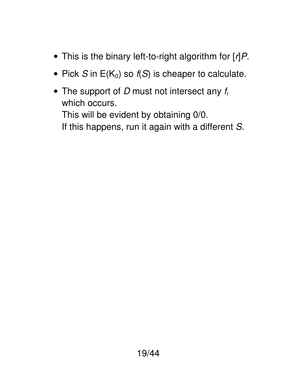- This is the binary left-to-right algorithm for  $[r]P$ .
- Pick S in  $E(K_0)$  so  $f(S)$  is cheaper to calculate.
- The support of  $D$  must not intersect any  $f_i$ which occurs. This will be evident by obtaining 0/0. If this happens, run it again with a different S.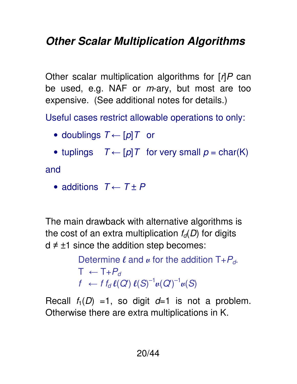# *Other Scalar Multiplication Algorithms*

Other scalar multiplication algorithms for  $\lceil r \rceil P$  can be used, e.g. NAF or  $m$ -ary, but most are too expensive. (See additional notes for details.)

Useful cases restrict allowable operations to only:

- doublings  $T \leftarrow [p]T$  or
- tuplings  $T \leftarrow [p]T$  for very small  $p = char(K)$

and

• additions  $T \leftarrow T + P$ 

The main drawback with alternative algorithms is the cost of an extra multiplication  $f_d(D)$  for digits  $d \neq \pm 1$  since the addition step becomes:

> Determine  $\ell$  and  $\mu$  for the addition  $T + P_d$ .  $T \leftarrow T + P_d$  $f \leftarrow f_{d} \ell(Q') \ell(S)^{-1} \nu(Q')^{-1} \nu(S)$

Recall  $f_1(D) = 1$ , so digit  $d=1$  is not a problem. Otherwise there are extra multiplications in K.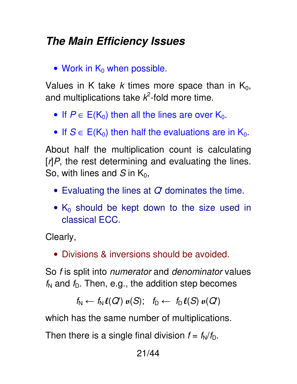#### *The Main Efficiency Issues*

• Work in  $K_0$  when possible.

Values in K take k times more space than in  $K_0$ , and multiplications take  $k^2$ -fold more time.

- If  $P \in E(K_0)$  then all the lines are over  $K_0$ .
- If  $S \in E(K_0)$  then half the evaluations are in  $K_0$ .

About half the multiplication count is calculating  $\lceil r \rceil P$ , the rest determining and evaluating the lines. So, with lines and S in  $K_0$ ,

- Evaluating the lines at  $Q'$  dominates the time.
- $K_0$  should be kept down to the size used in classical ECC.

Clearly,

• Divisions & inversions should be avoided.

So f is split into *numerator* and *denominator* values  $f<sub>N</sub>$  and  $f<sub>D</sub>$ . Then, e.g., the addition step becomes

$$
f_{N} \leftarrow f_{N} \ell(Q) \mathbf{u}(S); \quad f_{D} \leftarrow f_{D} \ell(S) \mathbf{u}(Q')
$$

which has the same number of multiplications.

Then there is a single final division  $f = f_N/f_D$ .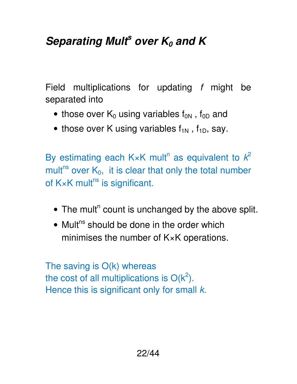# *Separating Mult<sup>s</sup> over K0 and K*

Field multiplications for updating f might be separated into

- those over  $K_0$  using variables  $f_{0N}$ ,  $f_{0D}$  and
- those over K using variables  $f_{1N}$ ,  $f_{1D}$ , say.

By estimating each K×K mult<sup>n</sup> as equivalent to  $k^2$ mult<sup>ns</sup> over  $K_0$ , it is clear that only the total number of  $K \times K$  mult<sup>ns</sup> is significant.

- $\bullet$  The mult<sup>n</sup> count is unchanged by the above split.
- $\bullet$  Mult<sup>ns</sup> should be done in the order which minimises the number of K×K operations.

The saving is O(k) whereas the cost of all multiplications is  $O(k^2)$ . Hence this is significant only for small  $k$ .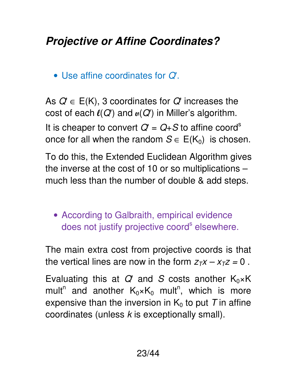# *Projective or Affine Coordinates?*

• Use affine coordinates for Q'.

As  $Q \in E(K)$ , 3 coordinates for Q' increases the cost of each  $\ell(Q)$  and  $\mu(Q')$  in Miller's algorithm. It is cheaper to convert  $Q' = Q + S$  to affine coord<sup>s</sup> once for all when the random  $S \in E(K_0)$  is chosen.

To do this, the Extended Euclidean Algorithm gives the inverse at the cost of 10 or so multiplications – much less than the number of double & add steps.

• According to Galbraith, empirical evidence does not justify projective coord<sup>s</sup> elsewhere.

The main extra cost from projective coords is that the vertical lines are now in the form  $z_Tx - x_Tz = 0$ .

Evaluating this at  $Q'$  and S costs another  $K_0 \times K$ mult<sup>n</sup> and another  $K_0 \times K_0$  mult<sup>n</sup>, which is more expensive than the inversion in  $K_0$  to put T in affine coordinates (unless  $k$  is exceptionally small).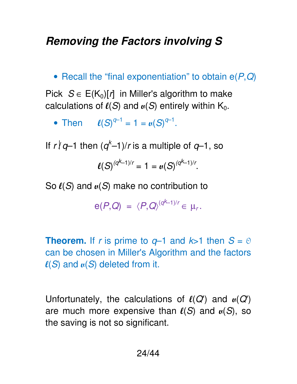#### *Removing the Factors involving S*

• Recall the "final exponentiation" to obtain  $e(P,Q)$ 

Pick  $S \in E(K_0)[r]$  in Miller's algorithm to make calculations of  $\ell(S)$  and  $\mu(S)$  entirely within K<sub>0</sub>.

• Then  $\ell(S)^{q-1} = 1 = \mu(S)^{q-1}$ .

If  $r \nmid q$ –1 then  $(q<sup>k</sup>$ –1)/r is a multiple of  $q$ –1, so

$$
\ell(S)^{(q^{k}-1)/r}=1=\iota(S)^{(q^{k}-1)/r}.
$$

So  $\ell(S)$  and  $\mu(S)$  make no contribution to

$$
e(P,Q) = \langle P,Q \rangle^{(qk-1)/r} \in \mu_r.
$$

**Theorem.** If r is prime to  $q-1$  and  $k>1$  then  $S = \emptyset$ can be chosen in Miller's Algorithm and the factors  $\ell(S)$  and  $\mu(S)$  deleted from it.

Unfortunately, the calculations of  $\ell(Q)$  and  $\mu(Q)$ are much more expensive than  $\ell(S)$  and  $\mu(S)$ , so the saving is not so significant.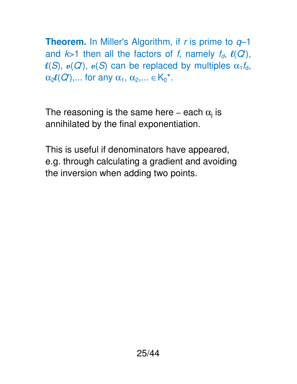**Theorem.** In Miller's Algorithm, if r is prime to  $q-1$ and  $k>1$  then all the factors of f, namely  $f_d$ ,  $\ell(Q')$ ,  $\ell(S)$ ,  $\mu(Q')$ ,  $\mu(S)$  can be replaced by multiples  $\alpha_1 f_d$ ,  $\alpha_2\ell(Q')$ ,... for any  $\alpha_1, \alpha_2,... \in K_0^*$ .

The reasoning is the same here – each  $\alpha_j$  is annihilated by the final exponentiation.

This is useful if denominators have appeared, e.g. through calculating a gradient and avoiding the inversion when adding two points.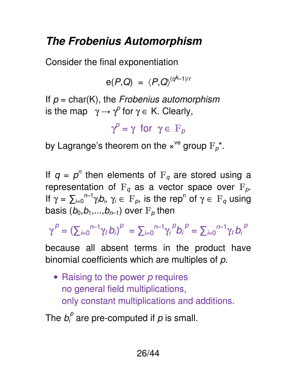## *The Frobenius Automorphism*

Consider the final exponentiation

$$
e(P,Q) = \langle P,Q \rangle^{(qk-1)/r}
$$

If  $p = char(K)$ , the Frobenius automorphism is the map  $\gamma \rightarrow \gamma^{\circ}$  for  $\gamma \in K$ . Clearly,

 $\gamma^{\rho} = \gamma$  for  $\gamma \in \mathbb{F}_\rho$ 

by Lagrange's theorem on the  $x^{\vee e}$  group  $F_p^*$ .

If  $q = p^n$  then elements of  $F_q$  are stored using a representation of  $F_q$  as a vector space over  $F_p$ . If  $\gamma = \sum_{i=0}^{n-1} \gamma_i b_i$ ,  $\gamma_i \in F_p$ , is the rep<sup>n</sup> of  $\gamma \in F_q$  using basis  $(b_0,b_1,...,b_{n-1})$  over  $F_p$  then

 $\gamma^P = \left( \sum_{i=0}^{n-1} \gamma_i b_i \right)^p \ = \sum_{i=0}^{n-1} \gamma_i^P b_i^P = \sum_{i=0}^{n-1} \gamma_i b_i^P$ 

because all absent terms in the product have binomial coefficients which are multiples of  $p$ .

• Raising to the power  *requires* no general field multiplications, only constant multiplications and additions.

The  $b_i^p$  are pre-computed if  $p$  is small.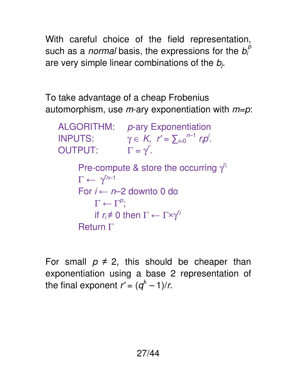With careful choice of the field representation, such as a *normal* basis, the expressions for the  $b_i^p$ are very simple linear combinations of the  $b_j$ .

To take advantage of a cheap Frobenius automorphism, use  $m$ -ary exponentiation with  $m=p$ .

ALGORITHM: p-ary Exponentiation INPUTS:  $\gamma \in K$ ,  $r' = \sum_{i=0}^{n-1} r_i p^i$ .  $\mathsf{OUTPUT:} \qquad \Gamma = \gamma'.$ Pre-compute & store the occurring  $\gamma$ <sup>ri</sup>  $\Gamma \leftarrow \gamma^{n-1}$ For  $i \leftarrow n-2$  downto 0 do  $\Gamma \leftarrow \Gamma^{\rho}$ ; if  $r_i \neq 0$  then  $\Gamma \leftarrow \Gamma \times \gamma^{r_i}$ Return Γ

For small  $p \neq 2$ , this should be cheaper than exponentiation using a base 2 representation of the final exponent  $r' = (q<sup>k</sup> - 1)/r$ .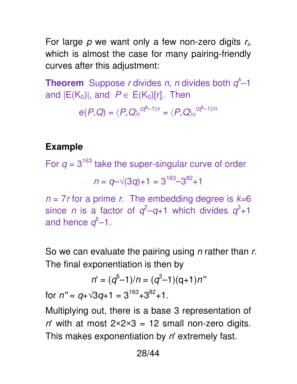For large  $p$  we want only a few non-zero digits  $r_{i}$ , which is almost the case for many pairing-friendly curves after this adjustment:

**Theorem** Suppose *r* divides *n*, *n* divides both  $q<sup>k</sup>-1$ and  $|E(K_0)|$ , and  $P \in E(K_0)[r]$ . Then

$$
e(P,Q)=\langle P,Q\rangle_r^{(q^k-1)/r}=\langle P,Q\rangle_n^{(q^k-1)/n}
$$

#### **Example**

For  $q = 3^{163}$  take the super-singular curve of order  $n = q-\sqrt{(3q)+1} = 3^{163}-3^{82}+1$  $n = 7r$  for a prime r. The embedding degree is  $k=6$ since *n* is a factor of  $q^2-q+1$  which divides  $q^3+1$ and hence  $q^6-1$ .

So we can evaluate the pairing using *n* rather than r. The final exponentiation is then by

$$
n' = (q^{6}-1)/n = (q^{3}-1)(q+1)n''
$$
  
for  $n'' = q + \sqrt{3}q + 1 = 3^{163} + 3^{82} + 1$ .

Multiplying out, there is a base 3 representation of n' with at most  $2 \times 2 \times 3 = 12$  small non-zero digits. This makes exponentiation by  $n'$  extremely fast.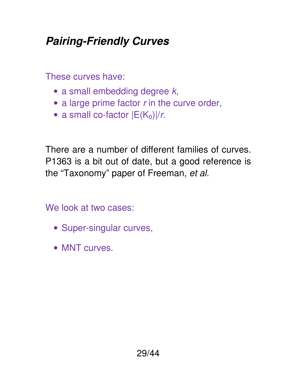# *Pairing-Friendly Curves*

These curves have:

- $\bullet$  a small embedding degree  $k$ ,
- $\bullet$  a large prime factor  $r$  in the curve order,
- a small co-factor  $|E(K_0)|/r$ .

There are a number of different families of curves. P1363 is a bit out of date, but a good reference is the "Taxonomy" paper of Freeman, et al.

We look at two cases:

- Super-singular curves,
- MNT curves.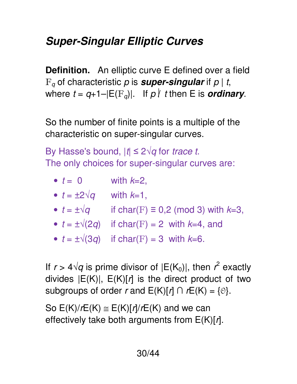# *Super-Singular Elliptic Curves*

**Definition.** An elliptic curve E defined over a field  $F_q$  of characteristic p is **super-singular** if  $p \mid t$ , where  $t = q+1-|E(\mathbf{F}_q)|$ . If  $p \nmid t$  then E is *ordinary*.

So the number of finite points is a multiple of the characteristic on super-singular curves.

By Hasse's bound,  $|t| \leq 2\sqrt{q}$  for trace t. The only choices for super-singular curves are:

| $\bullet$ $t = 0$            | with $k=2$ ,                                          |
|------------------------------|-------------------------------------------------------|
| • $t = \pm 2\sqrt{q}$        | with $k=1$ ,                                          |
| $\bullet$ $t = \pm \sqrt{q}$ | if char(F) $\equiv$ 0,2 (mod 3) with $k=3$ ,          |
|                              | • $t = \pm \sqrt{2q}$ if char(F) = 2 with $k=4$ , and |
|                              | • $t = \pm \sqrt{3q}$ if char(F) = 3 with $k=6$ .     |

If  $r > 4\sqrt{q}$  is prime divisor of  $|E(K_0)|$ , then  $r^2$  exactly divides  $|E(K)|$ ,  $E(K)[r]$  is the direct product of two subgroups of order r and  $E(K)[r] \cap rE(K) = \{0\}.$ 

So  $E(K)/rE(K) \cong E(K)/r/rE(K)$  and we can effectively take both arguments from  $E(K)[r]$ .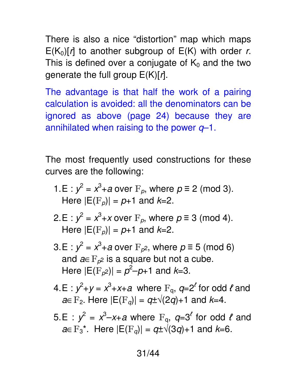There is also a nice "distortion" map which maps  $E(K_0)[r]$  to another subgroup of  $E(K)$  with order r. This is defined over a conjugate of  $K_0$  and the two generate the full group  $E(K)[r]$ .

The advantage is that half the work of a pairing calculation is avoided: all the denominators can be ignored as above (page 24) because they are annihilated when raising to the power  $q-1$ .

The most frequently used constructions for these curves are the following:

- 1.E :  $y^2 = x^3 + a$  over  $F_p$ , where  $p \equiv 2 \pmod{3}$ . Here  $|E(\mathbf{F}_p)| = p+1$  and  $k=2$ .
- 2.E :  $y^2 = x^3 + x$  over  $F_p$ , where  $p \equiv 3 \pmod{4}$ . Here  $|E(\mathbf{F}_p)| = p+1$  and  $k=2$ .
- $3.E : y^2 = x^3 + a$  over  $F_{p^2}$ , where  $p \equiv 5 \pmod{6}$ and  $a \in F_{p^2}$  is a square but not a cube. Here  $|E(\mathrm{F}_{\rho^2})| = \rho^2 - \rho + 1$  and  $k=3$ .
- 4.E :  $y^2+y = x^3+x+a$  where  $F_q$ ,  $q=2^l$  for odd  $l$  and  $a \in \mathrm{F}_2$ . Here  $|E(\mathrm{F}_q)| = q \pm \sqrt{(2q)} + 1$  and  $k=4$ .
- 5.E :  $y^2 = x^3 x + a$  where  $F_q$ ,  $q = 3^l$  for odd  $l$  and  $a \in \mathrm{F}_3^*$ . Here  $|E(\mathrm{F}_q)| = q \pm \sqrt{(3q)} + 1$  and  $k=6$ .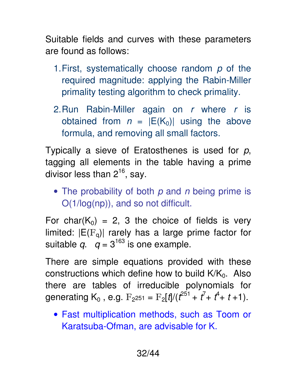Suitable fields and curves with these parameters are found as follows:

- 1. First, systematically choose random  $p$  of the required magnitude: applying the Rabin-Miller primality testing algorithm to check primality.
- 2. Run Rabin-Miller again on  $r$  where  $r$  is obtained from  $n = |E(K_0)|$  using the above formula, and removing all small factors.

Typically a sieve of Eratosthenes is used for  $p$ , tagging all elements in the table having a prime divisor less than  $2^{16}$ , say.

• The probability of both  $p$  and  $n$  being prime is O(1/log(np)), and so not difficult.

For char( $K_0$ ) = 2, 3 the choice of fields is very limited:  $|E(F_q)|$  rarely has a large prime factor for suitable q.  $q = 3^{163}$  is one example.

There are simple equations provided with these constructions which define how to build  $K/K_0$ . Also there are tables of irreducible polynomials for generating K<sub>0</sub>, e.g.  $F_{2^{251}} = F_{2}[t]/(t^{251} + t^{7} + t^{4} + t + 1)$ .

• Fast multiplication methods, such as Toom or Karatsuba-Ofman, are advisable for K.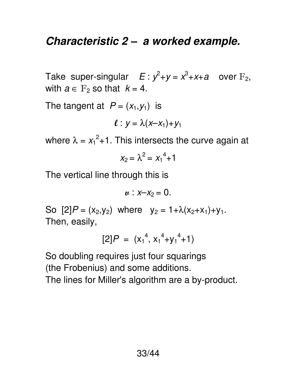#### *Characteristic 2 – a worked example.*

Take super-singular  $E: y^2+y=x^3+x+a$  over  $F_2$ , with  $a \in F_2$  so that  $k = 4$ .

The tangent at  $P = (x_1, y_1)$  is

$$
\ell: y = \lambda(x-x_1)+y_1
$$

where  $\lambda = x_1^2 + 1$ . This intersects the curve again at

$$
x_2 = \lambda^2 = x_1^4 + 1
$$

The vertical line through this is

$$
u: x-x_2=0.
$$

So  $[2]P = (x_2,y_2)$  where  $y_2 = 1 + \lambda(x_2+x_1)+y_1$ . Then, easily,

$$
[2]P = (x_1^4, x_1^4+y_1^4+1)
$$

So doubling requires just four squarings (the Frobenius) and some additions. The lines for Miller's algorithm are a by-product.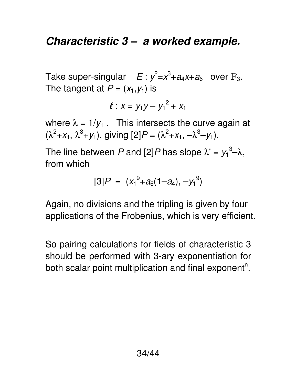#### *Characteristic 3 – a worked example.*

Take super-singular  $E: y^2 = x^3 + a_4x + a_6$  over  $F_3$ . The tangent at  $P = (x_1, y_1)$  is

$$
\ell: x = y_1y - y_1^2 + x_1
$$

where  $\lambda = 1/y_1$ . This intersects the curve again at  $(\lambda^2 + x_1, \lambda^3 + y_1)$ , giving  $[2]P = (\lambda^2 + x_1, -\lambda^3 - y_1)$ .

The line between P and [2]P has slope  $\lambda' = y_1^3 - \lambda$ , from which

$$
[3]P = (x_1^9 + a_6(1-a_4), -y_1^9)
$$

Again, no divisions and the tripling is given by four applications of the Frobenius, which is very efficient.

So pairing calculations for fields of characteristic 3 should be performed with 3-ary exponentiation for both scalar point multiplication and final exponent<sup>n</sup>.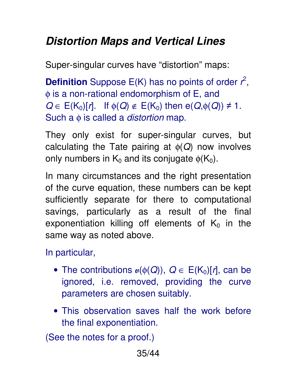# *Distortion Maps and Vertical Lines*

Super-singular curves have "distortion" maps:

**Definition** Suppose  $E(K)$  has no points of order  $r^2$ , φ is a non-rational endomorphism of E, and  $Q \in E(K_0)[r]$ . If  $\phi(Q) \notin E(K_0)$  then  $e(Q, \phi(Q)) \neq 1$ . Such a  $\phi$  is called a *distortion* map.

They only exist for super-singular curves, but calculating the Tate pairing at  $\phi(Q)$  now involves only numbers in  $K_0$  and its conjugate  $\phi(K_0)$ .

In many circumstances and the right presentation of the curve equation, these numbers can be kept sufficiently separate for there to computational savings, particularly as a result of the final exponentiation killing off elements of  $K_0$  in the same way as noted above.

In particular,

- The contributions  $u(\phi(Q))$ ,  $Q \in E(K_0)[r]$ , can be ignored, i.e. removed, providing the curve parameters are chosen suitably.
- This observation saves half the work before the final exponentiation.

(See the notes for a proof.)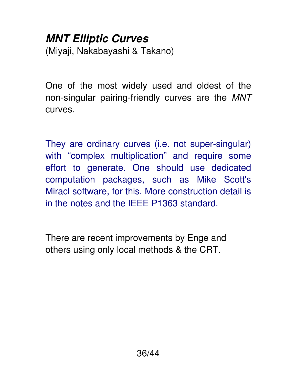# *MNT Elliptic Curves*

(Miyaji, Nakabayashi & Takano)

One of the most widely used and oldest of the non-singular pairing-friendly curves are the MNT curves.

They are ordinary curves (i.e. not super-singular) with "complex multiplication" and require some effort to generate. One should use dedicated computation packages, such as Mike Scott's Miracl software, for this. More construction detail is in the notes and the IEEE P1363 standard.

There are recent improvements by Enge and others using only local methods & the CRT.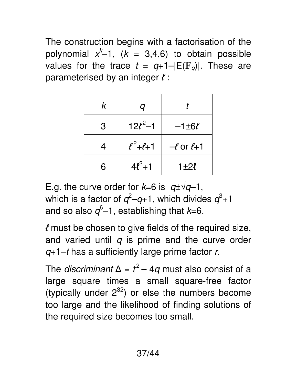The construction begins with a factorisation of the polynomial  $x^{k}-1$ ,  $(k = 3,4,6)$  to obtain possible values for the trace  $t = q+1-|E(F_q)|$ . These are parameterised by an integer *ℓ* :

| k | q                   |                      |
|---|---------------------|----------------------|
| 3 | $12\ell^2-1$        | $-1 \pm 6\ell$       |
| 4 | $\ell^2 + \ell + 1$ | $-\ell$ or $\ell$ +1 |
| 6 | $4\ell^2+1$         | 1±2l                 |

E.g. the curve order for  $k=6$  is  $q\pm\sqrt{q-1}$ , which is a factor of  $q^2$ – $q$ +1, which divides  $q^3$ +1 and so also  $q^6$ –1, establishing that  $k$ =6.

*ℓ* must be chosen to give fields of the required size, and varied until  $q$  is prime and the curve order  $q+1-t$  has a sufficiently large prime factor r.

The *discriminant*  $\Delta = t^2 - 4q$  must also consist of a large square times a small square-free factor (typically under  $2^{32}$ ) or else the numbers become too large and the likelihood of finding solutions of the required size becomes too small.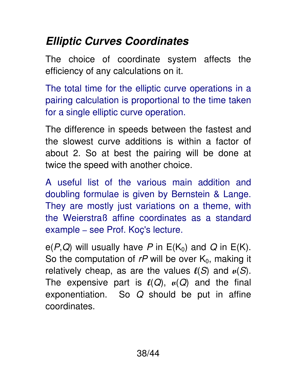# *Elliptic Curves Coordinates*

The choice of coordinate system affects the efficiency of any calculations on it.

The total time for the elliptic curve operations in a pairing calculation is proportional to the time taken for a single elliptic curve operation.

The difference in speeds between the fastest and the slowest curve additions is within a factor of about 2. So at best the pairing will be done at twice the speed with another choice.

A useful list of the various main addition and doubling formulae is given by Bernstein & Lange. They are mostly just variations on a theme, with the Weierstraß affine coordinates as a standard example – see Prof. Koç's lecture.

 $e(P,Q)$  will usually have P in  $E(K_0)$  and Q in  $E(K)$ . So the computation of  $rP$  will be over  $K_0$ , making it relatively cheap, as are the values  $\ell(S)$  and  $\mu(S)$ . The expensive part is  $\ell(Q)$ ,  $\mu(Q)$  and the final exponentiation. So  $Q$  should be put in affine coordinates.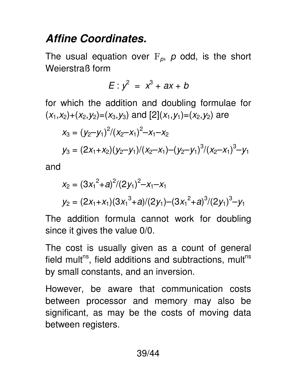#### *Affine Coordinates.*

The usual equation over  $F_p$ , p odd, is the short Weierstraß form

$$
E: y^2 = x^3 + ax + b
$$

for which the addition and doubling formulae for  $(x_1,x_2)+(x_2,y_2)=(x_3,y_3)$  and  $[2](x_1,y_1)=(x_2,y_2)$  are

$$
x_3 = (y_2-y_1)^2/(x_2-x_1)^2-x_1-x_2
$$
  
\n
$$
y_3 = (2x_1+x_2)(y_2-y_1)/(x_2-x_1)-(y_2-y_1)^3/(x_2-x_1)^3-y_1
$$

and

$$
x_2 = (3x_1^2 + a)^2/(2y_1)^2 - x_1 - x_1
$$
  
\n
$$
y_2 = (2x_1 + x_1)(3x_1^3 + a)/(2y_1) - (3x_1^2 + a)^3/(2y_1)^3 - y_1
$$

The addition formula cannot work for doubling since it gives the value 0/0.

The cost is usually given as a count of general field mult<sup>ns</sup>, field additions and subtractions, mult<sup>ns</sup> by small constants, and an inversion.

However, be aware that communication costs between processor and memory may also be significant, as may be the costs of moving data between registers.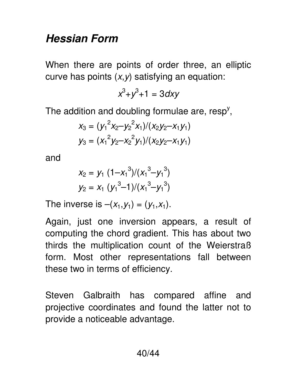#### *Hessian Form*

When there are points of order three, an elliptic curve has points  $(x, y)$  satisfying an equation:

$$
x^3 + y^3 + 1 = 3 \, dx \, y
$$

The addition and doubling formulae are, resp<sup>y</sup>,

$$
X_3 = (y_1^2 x_2 - y_2^2 x_1)/(x_2 y_2 - x_1 y_1)
$$
  

$$
y_3 = (x_1^2 y_2 - x_2^2 y_1)/(x_2 y_2 - x_1 y_1)
$$

and

$$
x_2 = y_1 (1-x_1^3)/(x_1^3-y_1^3)
$$
  

$$
y_2 = x_1 (y_1^3-1)/(x_1^3-y_1^3)
$$

The inverse is  $-(x_1,y_1) = (y_1,x_1)$ .

Again, just one inversion appears, a result of computing the chord gradient. This has about two thirds the multiplication count of the Weierstraß form. Most other representations fall between these two in terms of efficiency.

Steven Galbraith has compared affine and projective coordinates and found the latter not to provide a noticeable advantage.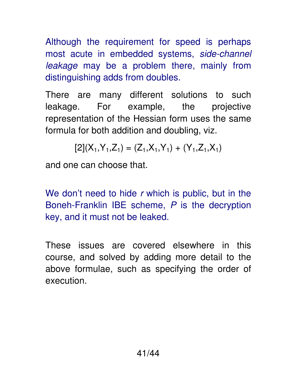Although the requirement for speed is perhaps most acute in embedded systems, side-channel leakage may be a problem there, mainly from distinguishing adds from doubles.

There are many different solutions to such leakage. For example, the projective representation of the Hessian form uses the same formula for both addition and doubling, viz.

$$
[2](X_1, Y_1, Z_1) = (Z_1, X_1, Y_1) + (Y_1, Z_1, X_1)
$$

and one can choose that.

We don't need to hide  $r$  which is public, but in the Boneh-Franklin IBE scheme, P is the decryption key, and it must not be leaked.

These issues are covered elsewhere in this course, and solved by adding more detail to the above formulae, such as specifying the order of execution.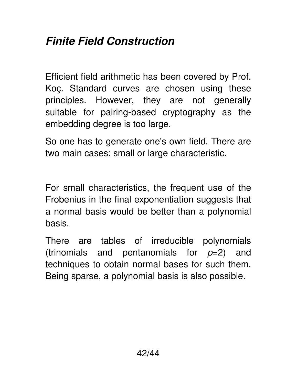#### *Finite Field Construction*

Efficient field arithmetic has been covered by Prof. Koç. Standard curves are chosen using these principles. However, they are not generally suitable for pairing-based cryptography as the embedding degree is too large.

So one has to generate one's own field. There are two main cases: small or large characteristic.

For small characteristics, the frequent use of the Frobenius in the final exponentiation suggests that a normal basis would be better than a polynomial basis.

There are tables of irreducible polynomials (trinomials and pentanomials for  $p=2$ ) and techniques to obtain normal bases for such them. Being sparse, a polynomial basis is also possible.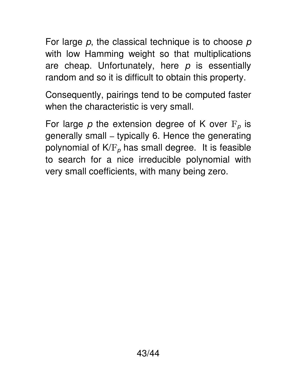For large  $p$ , the classical technique is to choose  $p$ with low Hamming weight so that multiplications are cheap. Unfortunately, here  $p$  is essentially random and so it is difficult to obtain this property.

Consequently, pairings tend to be computed faster when the characteristic is very small.

For large p the extension degree of K over  $F_p$  is generally small – typically 6. Hence the generating polynomial of  $K/F_p$  has small degree. It is feasible to search for a nice irreducible polynomial with very small coefficients, with many being zero.